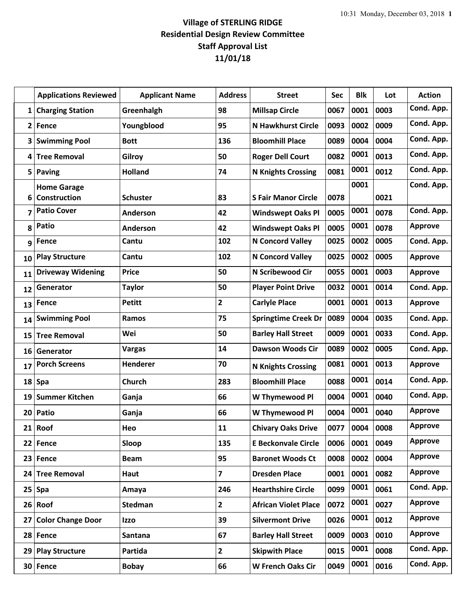## **Village of STERLING RIDGE Residential Design Review Committee Staff Approval List 11/01/18**

|                         | <b>Applications Reviewed</b> | <b>Applicant Name</b> | <b>Address</b> | <b>Street</b>               | Sec  | <b>Blk</b> | Lot  | <b>Action</b>  |
|-------------------------|------------------------------|-----------------------|----------------|-----------------------------|------|------------|------|----------------|
| 1                       | <b>Charging Station</b>      | Greenhalgh            | 98             | <b>Millsap Circle</b>       | 0067 | 0001       | 0003 | Cond. App.     |
| $\overline{\mathbf{2}}$ | Fence                        | Youngblood            | 95             | <b>N Hawkhurst Circle</b>   | 0093 | 0002       | 0009 | Cond. App.     |
| 3                       | <b>Swimming Pool</b>         | <b>Bott</b>           | 136            | <b>Bloomhill Place</b>      | 0089 | 0004       | 0004 | Cond. App.     |
| 4                       | <b>Tree Removal</b>          | Gilroy                | 50             | <b>Roger Dell Court</b>     | 0082 | 0001       | 0013 | Cond. App.     |
| 5                       | <b>Paving</b>                | <b>Holland</b>        | 74             | <b>N Knights Crossing</b>   | 0081 | 0001       | 0012 | Cond. App.     |
|                         | <b>Home Garage</b>           |                       |                |                             |      | 0001       |      | Cond. App.     |
| 6                       | <b>Construction</b>          | <b>Schuster</b>       | 83             | <b>S Fair Manor Circle</b>  | 0078 |            | 0021 |                |
| $\overline{\mathbf{z}}$ | <b>Patio Cover</b>           | Anderson              | 42             | <b>Windswept Oaks Pl</b>    | 0005 | 0001       | 0078 | Cond. App.     |
| 8                       | Patio                        | Anderson              | 42             | <b>Windswept Oaks Pl</b>    | 0005 | 0001       | 0078 | <b>Approve</b> |
| 9                       | Fence                        | Cantu                 | 102            | <b>N Concord Valley</b>     | 0025 | 0002       | 0005 | Cond. App.     |
| 10                      | <b>Play Structure</b>        | Cantu                 | 102            | <b>N Concord Valley</b>     | 0025 | 0002       | 0005 | <b>Approve</b> |
| 11                      | <b>Driveway Widening</b>     | <b>Price</b>          | 50             | N Scribewood Cir            | 0055 | 0001       | 0003 | <b>Approve</b> |
| 12                      | Generator                    | <b>Taylor</b>         | 50             | <b>Player Point Drive</b>   | 0032 | 0001       | 0014 | Cond. App.     |
| 13                      | Fence                        | <b>Petitt</b>         | $\mathbf{2}$   | <b>Carlyle Place</b>        | 0001 | 0001       | 0013 | <b>Approve</b> |
| 14                      | <b>Swimming Pool</b>         | Ramos                 | 75             | <b>Springtime Creek Dr</b>  | 0089 | 0004       | 0035 | Cond. App.     |
| 15                      | <b>Tree Removal</b>          | Wei                   | 50             | <b>Barley Hall Street</b>   | 0009 | 0001       | 0033 | Cond. App.     |
| 16                      | Generator                    | <b>Vargas</b>         | 14             | <b>Dawson Woods Cir</b>     | 0089 | 0002       | 0005 | Cond. App.     |
| 17                      | <b>Porch Screens</b>         | Henderer              | 70             | <b>N Knights Crossing</b>   | 0081 | 0001       | 0013 | <b>Approve</b> |
| 18                      | Spa                          | Church                | 283            | <b>Bloomhill Place</b>      | 0088 | 0001       | 0014 | Cond. App.     |
| 19                      | <b>Summer Kitchen</b>        | Ganja                 | 66             | W Thymewood Pl              | 0004 | 0001       | 0040 | Cond. App.     |
| 20                      | Patio                        | Ganja                 | 66             | W Thymewood Pl              | 0004 | 0001       | 0040 | <b>Approve</b> |
|                         | $21$ Roof                    | Heo                   | 11             | <b>Chivary Oaks Drive</b>   | 0077 | 0004       | 0008 | <b>Approve</b> |
|                         | 22 Fence                     | Sloop                 | 135            | <b>E Beckonvale Circle</b>  | 0006 | 0001       | 0049 | Approve        |
|                         | 23 Fence                     | <b>Beam</b>           | 95             | <b>Baronet Woods Ct</b>     | 0008 | 0002       | 0004 | <b>Approve</b> |
| 24                      | <b>Tree Removal</b>          | Haut                  | $\overline{7}$ | <b>Dresden Place</b>        | 0001 | 0001       | 0082 | <b>Approve</b> |
| 25                      | Spa                          | Amaya                 | 246            | <b>Hearthshire Circle</b>   | 0099 | 0001       | 0061 | Cond. App.     |
|                         | $26$ Roof                    | <b>Stedman</b>        | $\overline{2}$ | <b>African Violet Place</b> | 0072 | 0001       | 0027 | <b>Approve</b> |
| 27                      | <b>Color Change Door</b>     | <b>Izzo</b>           | 39             | <b>Silvermont Drive</b>     | 0026 | 0001       | 0012 | <b>Approve</b> |
|                         | 28 Fence                     | Santana               | 67             | <b>Barley Hall Street</b>   | 0009 | 0003       | 0010 | <b>Approve</b> |
| 29                      | <b>Play Structure</b>        | Partida               | $\overline{2}$ | <b>Skipwith Place</b>       | 0015 | 0001       | 0008 | Cond. App.     |
|                         | 30 Fence                     | <b>Bobay</b>          | 66             | <b>W French Oaks Cir</b>    | 0049 | 0001       | 0016 | Cond. App.     |